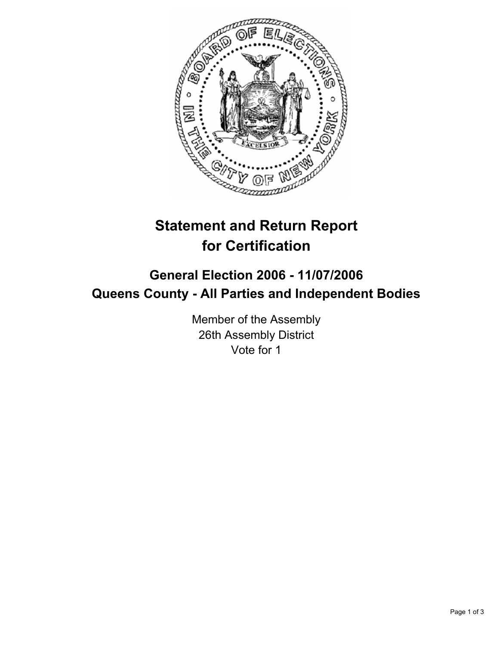

# **Statement and Return Report for Certification**

# **General Election 2006 - 11/07/2006 Queens County - All Parties and Independent Bodies**

Member of the Assembly 26th Assembly District Vote for 1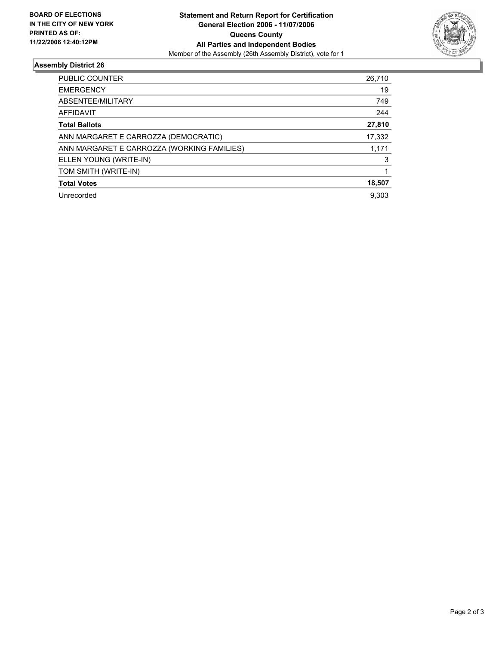

## **Assembly District 26**

| <b>PUBLIC COUNTER</b>                      | 26,710 |
|--------------------------------------------|--------|
| <b>EMERGENCY</b>                           | 19     |
| ABSENTEE/MILITARY                          | 749    |
| AFFIDAVIT                                  | 244    |
| <b>Total Ballots</b>                       | 27,810 |
| ANN MARGARET E CARROZZA (DEMOCRATIC)       | 17,332 |
| ANN MARGARET E CARROZZA (WORKING FAMILIES) | 1,171  |
| ELLEN YOUNG (WRITE-IN)                     | 3      |
| TOM SMITH (WRITE-IN)                       |        |
| <b>Total Votes</b>                         | 18,507 |
| Unrecorded                                 | 9.303  |